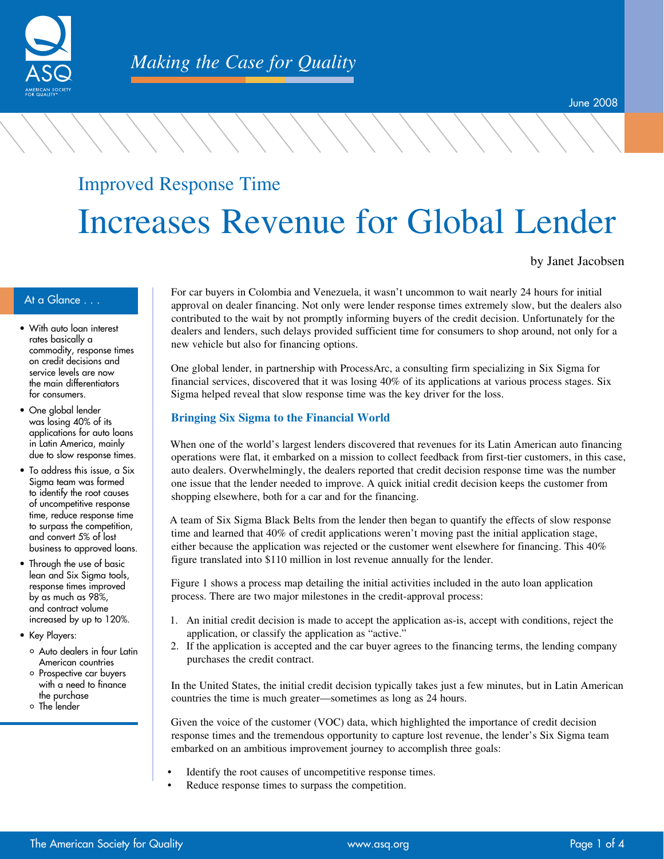

June 2008

# Improved Response Time

## Increases Revenue for Global Lender

by Janet Jacobsen

- • With auto loan interest rates basically a commodity, response times on credit decisions and service levels are now the main differentiators for consumers.
- One global lender was losing 40% of its applications for auto loans in Latin America, mainly due to slow response times.
- To address this issue, a Six Sigma team was formed to identify the root causes of uncompetitive response time, reduce response time to surpass the competition, and convert 5% of lost business to approved loans.
- Through the use of basic lean and Six Sigma tools, response times improved by as much as 98%, and contract volume increased by up to 120%.
- • Key Players:
	- Auto dealers in four Latin American countries
	- o Prospective car buyers with a need to finance the purchase
	- The lender

At a Glance . . . For car buyers in Colombia and Venezuela, it wasn't uncommon to wait nearly 24 hours for initial<br>At a Glance . . . approval on dealer financing. Not only were lender response times extremely slow, but the dealers also contributed to the wait by not promptly informing buyers of the credit decision. Unfortunately for the dealers and lenders, such delays provided sufficient time for consumers to shop around, not only for a new vehicle but also for financing options.

> One global lender, in partnership with ProcessArc, a consulting firm specializing in Six Sigma for financial services, discovered that it was losing 40% of its applications at various process stages. Six Sigma helped reveal that slow response time was the key driver for the loss.

#### **Bringing Six Sigma to the Financial World**

When one of the world's largest lenders discovered that revenues for its Latin American auto financing operations were flat, it embarked on a mission to collect feedback from first-tier customers, in this case, auto dealers. Overwhelmingly, the dealers reported that credit decision response time was the number one issue that the lender needed to improve. A quick initial credit decision keeps the customer from shopping elsewhere, both for a car and for the financing.

A team of Six Sigma Black Belts from the lender then began to quantify the effects of slow response time and learned that 40% of credit applications weren't moving past the initial application stage, either because the application was rejected or the customer went elsewhere for financing. This 40% figure translated into \$110 million in lost revenue annually for the lender.

Figure 1 shows a process map detailing the initial activities included in the auto loan application process. There are two major milestones in the credit-approval process:

- 1. An initial credit decision is made to accept the application as-is, accept with conditions, reject the application, or classify the application as "active."
- 2. If the application is accepted and the car buyer agrees to the financing terms, the lending company purchases the credit contract.

In the United States, the initial credit decision typically takes just a few minutes, but in Latin American countries the time is much greater—sometimes as long as 24 hours.

Given the voice of the customer (VOC) data, which highlighted the importance of credit decision response times and the tremendous opportunity to capture lost revenue, the lender's Six Sigma team embarked on an ambitious improvement journey to accomplish three goals:

- Identify the root causes of uncompetitive response times.
- Reduce response times to surpass the competition.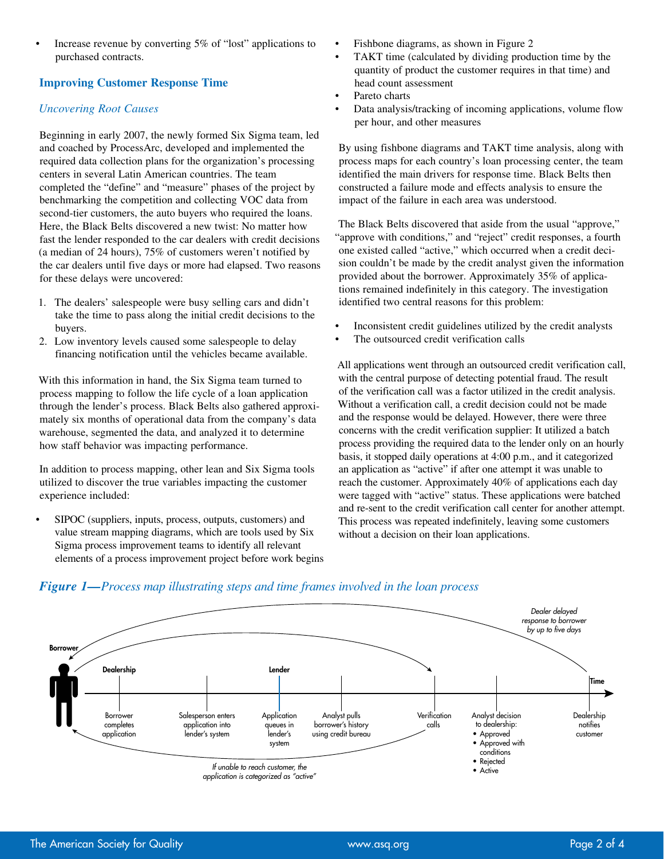Increase revenue by converting  $5\%$  of "lost" applications to purchased contracts.

#### **Improving Customer Response Time**

#### *Uncovering Root Causes*

Beginning in early 2007, the newly formed Six Sigma team, led and coached by ProcessArc, developed and implemented the required data collection plans for the organization's processing centers in several Latin American countries. The team completed the "define" and "measure" phases of the project by benchmarking the competition and collecting VOC data from second-tier customers, the auto buyers who required the loans. Here, the Black Belts discovered a new twist: No matter how fast the lender responded to the car dealers with credit decisions (a median of 24 hours), 75% of customers weren't notified by the car dealers until five days or more had elapsed. Two reasons for these delays were uncovered:

- 1. The dealers' salespeople were busy selling cars and didn't take the time to pass along the initial credit decisions to the buyers.
- 2. Low inventory levels caused some salespeople to delay financing notification until the vehicles became available.

With this information in hand, the Six Sigma team turned to process mapping to follow the life cycle of a loan application through the lender's process. Black Belts also gathered approximately six months of operational data from the company's data warehouse, segmented the data, and analyzed it to determine how staff behavior was impacting performance.

In addition to process mapping, other lean and Six Sigma tools utilized to discover the true variables impacting the customer experience included:

SIPOC (suppliers, inputs, process, outputs, customers) and value stream mapping diagrams, which are tools used by Six Sigma process improvement teams to identify all relevant elements of a process improvement project before work begins

- Fishbone diagrams, as shown in Figure 2
- TAKT time (calculated by dividing production time by the quantity of product the customer requires in that time) and head count assessment
- Pareto charts
- Data analysis/tracking of incoming applications, volume flow per hour, and other measures

By using fishbone diagrams and TAKT time analysis, along with process maps for each country's loan processing center, the team identified the main drivers for response time. Black Belts then constructed a failure mode and effects analysis to ensure the impact of the failure in each area was understood.

The Black Belts discovered that aside from the usual "approve," "approve with conditions," and "reject" credit responses, a fourth one existed called "active," which occurred when a credit decision couldn't be made by the credit analyst given the information provided about the borrower. Approximately 35% of applications remained indefinitely in this category. The investigation identified two central reasons for this problem:

- Inconsistent credit guidelines utilized by the credit analysts
- The outsourced credit verification calls

All applications went through an outsourced credit verification call, with the central purpose of detecting potential fraud. The result of the verification call was a factor utilized in the credit analysis. Without a verification call, a credit decision could not be made and the response would be delayed. However, there were three concerns with the credit verification supplier: It utilized a batch process providing the required data to the lender only on an hourly basis, it stopped daily operations at 4:00 p.m., and it categorized an application as "active" if after one attempt it was unable to reach the customer. Approximately 40% of applications each day were tagged with "active" status. These applications were batched and re-sent to the credit verification call center for another attempt. This process was repeated indefinitely, leaving some customers without a decision on their loan applications.



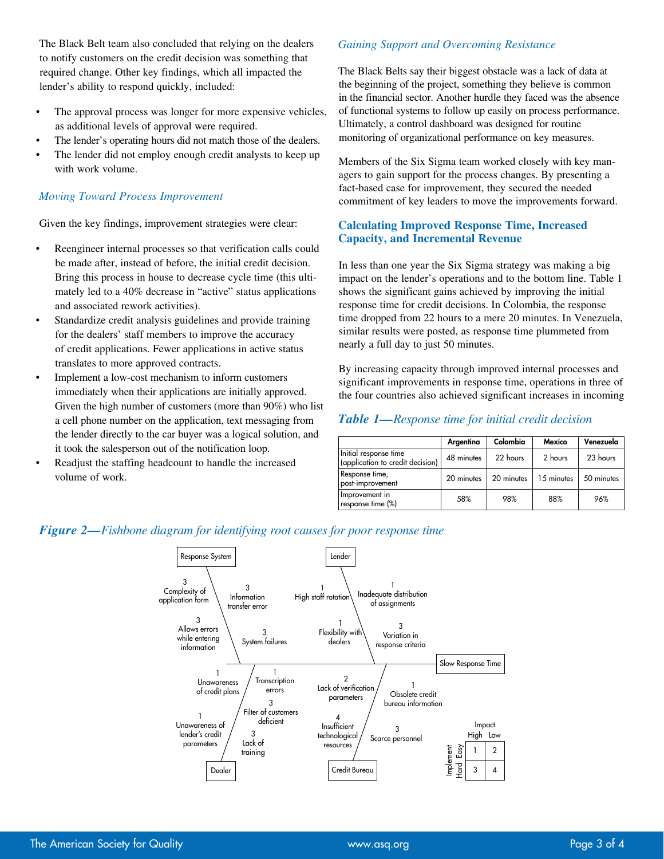The Black Belt team also concluded that relying on the dealers to notify customers on the credit decision was something that required change. Other key findings, which all impacted the lender's ability to respond quickly, included:

- The approval process was longer for more expensive vehicles, as additional levels of approval were required.
- The lender's operating hours did not match those of the dealers.
- The lender did not employ enough credit analysts to keep up with work volume.

#### *Moving Toward Process Improvement*

Given the key findings, improvement strategies were clear:

- Reengineer internal processes so that verification calls could be made after, instead of before, the initial credit decision. Bring this process in house to decrease cycle time (this ultimately led to a 40% decrease in "active" status applications and associated rework activities).
- Standardize credit analysis guidelines and provide training for the dealers' staff members to improve the accuracy of credit applications. Fewer applications in active status translates to more approved contracts.
- Implement a low-cost mechanism to inform customers immediately when their applications are initially approved. Given the high number of customers (more than 90%) who list a cell phone number on the application, text messaging from the lender directly to the car buyer was a logical solution, and it took the salesperson out of the notification loop.
- Readjust the staffing headcount to handle the increased volume of work.

#### *Gaining Support and Overcoming Resistance*

The Black Belts say their biggest obstacle was a lack of data at the beginning of the project, something they believe is common in the financial sector. Another hurdle they faced was the absence of functional systems to follow up easily on process performance. Ultimately, a control dashboard was designed for routine monitoring of organizational performance on key measures.

Members of the Six Sigma team worked closely with key managers to gain support for the process changes. By presenting a fact-based case for improvement, they secured the needed commitment of key leaders to move the improvements forward.

#### **Calculating Improved Response Time, Increased Capacity, and Incremental Revenue**

In less than one year the Six Sigma strategy was making a big impact on the lender's operations and to the bottom line. Table 1 shows the significant gains achieved by improving the initial response time for credit decisions. In Colombia, the response time dropped from 22 hours to a mere 20 minutes. In Venezuela, similar results were posted, as response time plummeted from nearly a full day to just 50 minutes.

By increasing capacity through improved internal processes and significant improvements in response time, operations in three of the four countries also achieved significant increases in incoming

#### *Table 1—Response time for initial credit decision*

|                                                           | Argentina  | Colombia   | Mexico     | Venezuela  |
|-----------------------------------------------------------|------------|------------|------------|------------|
| Initial response time<br>(application to credit decision) | 48 minutes | 22 hours   | 2 hours    | 23 hours   |
| Response time,<br>post-improvement                        | 20 minutes | 20 minutes | 15 minutes | 50 minutes |
| Improvement in<br>response time (%)                       | 58%        | 98%        | 88%        | 96%        |

### *Figure 2—Fishbone diagram for identifying root causes for poor response time*